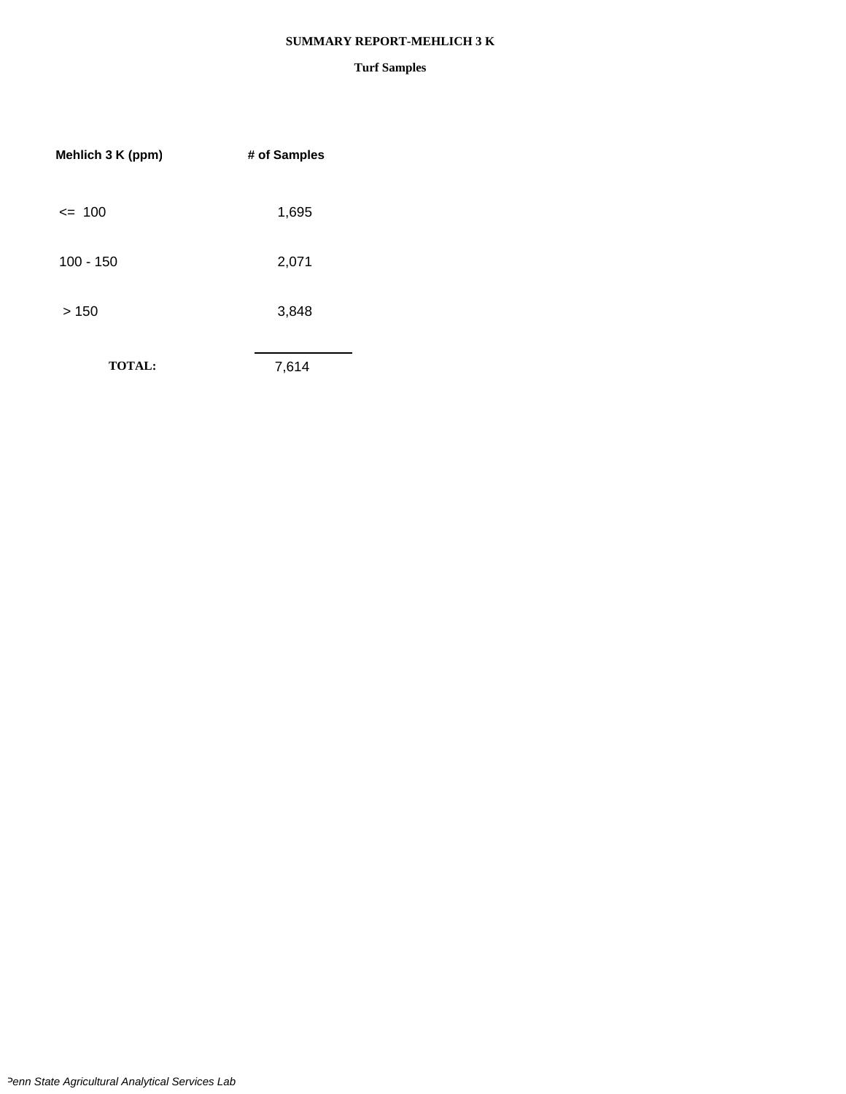#### **SUMMARY REPORT-MEHLICH 3 K**

| Mehlich 3 K (ppm) | # of Samples |  |
|-------------------|--------------|--|
| $= 100$           | 1,695        |  |
| $100 - 150$       | 2,071        |  |
| >150              | 3,848        |  |
| <b>TOTAL:</b>     | 7,614        |  |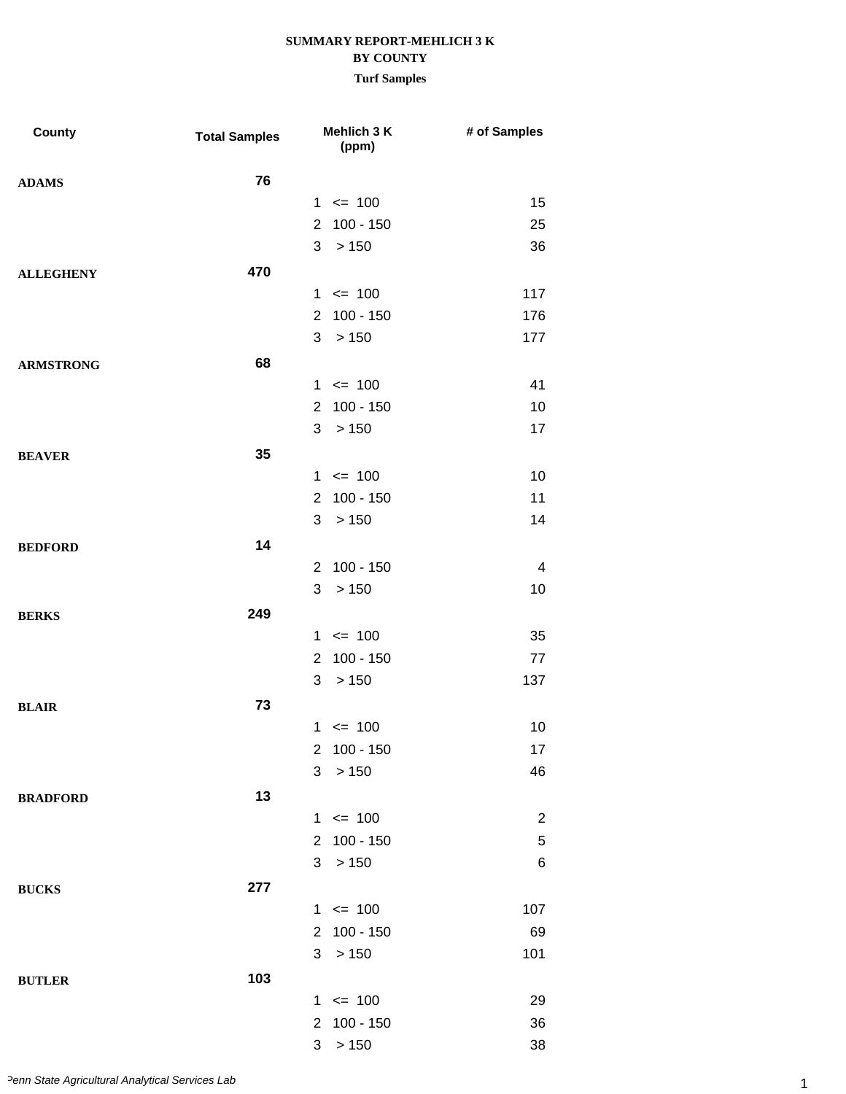| County           | <b>Total Samples</b> | Mehlich 3 K<br>(ppm)          | # of Samples   |
|------------------|----------------------|-------------------------------|----------------|
| <b>ADAMS</b>     | 76                   |                               |                |
|                  |                      | $1 \le 100$                   | 15             |
|                  |                      | 100 - 150<br>$\overline{2}$   | 25             |
|                  |                      | 3<br>>150                     | 36             |
| <b>ALLEGHENY</b> | 470                  |                               |                |
|                  |                      | $1 \le 100$                   | 117            |
|                  |                      | 2 100 - 150                   | 176            |
|                  |                      | 3<br>>150                     | 177            |
| <b>ARMSTRONG</b> | 68                   |                               |                |
|                  |                      | $1 \le 100$                   | 41             |
|                  |                      | 100 - 150<br>$\overline{2}$   | 10             |
|                  |                      | 3<br>>150                     | 17             |
| <b>BEAVER</b>    | 35                   |                               |                |
|                  |                      | $1 \le 100$                   | 10             |
|                  |                      | 2 100 - 150                   | 11             |
|                  |                      | 3<br>>150                     | 14             |
| <b>BEDFORD</b>   | 14                   |                               |                |
|                  |                      | 2 100 - 150                   | 4              |
|                  |                      | 3<br>>150                     | 10             |
| <b>BERKS</b>     | 249                  |                               |                |
|                  |                      | $1 \le 100$                   | 35             |
|                  |                      | $100 - 150$<br>$\overline{2}$ | 77             |
|                  |                      | 3<br>>150                     | 137            |
| <b>BLAIR</b>     | 73                   |                               |                |
|                  |                      | $1 \le 100$                   | 10             |
|                  |                      | 2 100 - 150                   | 17             |
|                  |                      | 3 > 150                       | 46             |
| <b>BRADFORD</b>  | 13                   |                               |                |
|                  |                      | $1 \le 100$                   | $\overline{c}$ |
|                  |                      | 2 100 - 150                   | 5              |
|                  |                      | 3 > 150                       | 6              |
| <b>BUCKS</b>     | 277                  |                               |                |
|                  |                      | $1 \le 100$                   | 107            |
|                  |                      | 2 100 - 150                   | 69             |
|                  |                      | 3 > 150                       | 101            |
| <b>BUTLER</b>    | 103                  |                               |                |
|                  |                      | $1 \le 100$                   | 29             |
|                  |                      | 2 100 - 150                   | 36             |
|                  |                      | 3 > 150                       | 38             |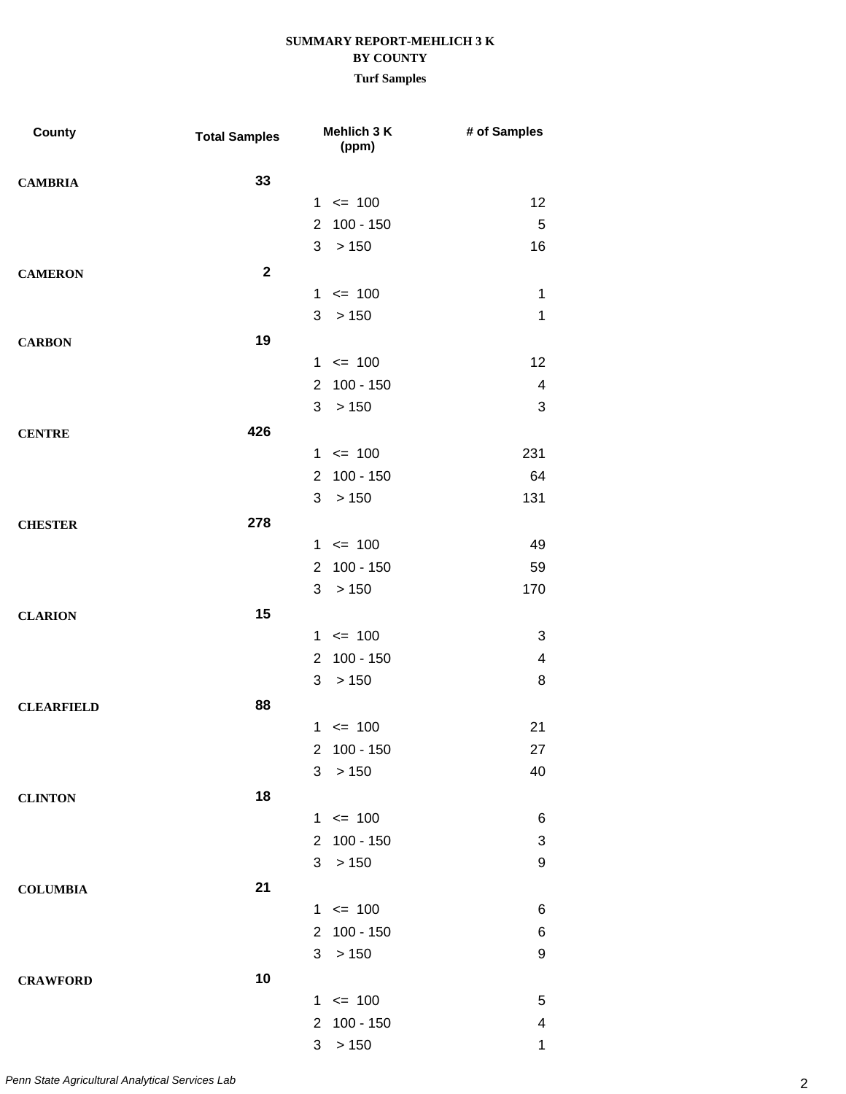| County            | <b>Total Samples</b>    | Mehlich 3 K<br>(ppm)          | # of Samples             |
|-------------------|-------------------------|-------------------------------|--------------------------|
| <b>CAMBRIA</b>    | 33                      |                               |                          |
|                   |                         | $1 \le 100$                   | 12                       |
|                   |                         | $100 - 150$<br>$\overline{2}$ | 5                        |
|                   |                         | >150<br>3                     | 16                       |
| <b>CAMERON</b>    | $\overline{\mathbf{2}}$ |                               |                          |
|                   |                         | $1 \le 100$                   | $\mathbf 1$              |
|                   |                         | 3 > 150                       | 1                        |
| <b>CARBON</b>     | 19                      |                               |                          |
|                   |                         | $1 \le 100$                   | 12                       |
|                   |                         | 2 100 - 150                   | 4                        |
|                   |                         | 3<br>>150                     | 3                        |
| <b>CENTRE</b>     | 426                     |                               |                          |
|                   |                         | $1 \le 100$                   | 231                      |
|                   |                         | $100 - 150$<br>$2^{\circ}$    | 64                       |
|                   |                         | 3<br>> 150                    | 131                      |
| <b>CHESTER</b>    | 278                     |                               |                          |
|                   |                         | $1 \le 100$                   | 49                       |
|                   |                         | 2 100 - 150                   | 59                       |
|                   |                         | 3<br>>150                     | 170                      |
| <b>CLARION</b>    | 15                      |                               |                          |
|                   |                         | $1 \le 100$                   | 3                        |
|                   |                         | $100 - 150$<br>$\mathbf{2}$   | $\overline{\mathcal{A}}$ |
|                   |                         | 3<br>>150                     | 8                        |
| <b>CLEARFIELD</b> | 88                      |                               |                          |
|                   |                         | $1 \le 100$                   | 21                       |
|                   |                         | 2 100 - 150                   | 27                       |
|                   |                         | 3<br>>150                     | 40                       |
| <b>CLINTON</b>    | 18                      |                               |                          |
|                   |                         | $1 \le 100$                   | 6                        |
|                   |                         | 2 100 - 150                   | 3                        |
|                   |                         | 3 <sup>1</sup><br>>150        | 9                        |
| <b>COLUMBIA</b>   | 21                      |                               |                          |
|                   |                         | $1 \le 100$                   | 6                        |
|                   |                         | 2 100 - 150                   | 6                        |
|                   |                         | 3 > 150                       | 9                        |
| <b>CRAWFORD</b>   | 10                      |                               |                          |
|                   |                         | $1 \le 100$                   | 5                        |
|                   |                         | 2 100 - 150                   | 4                        |
|                   |                         | 3 > 150                       | $\mathbf 1$              |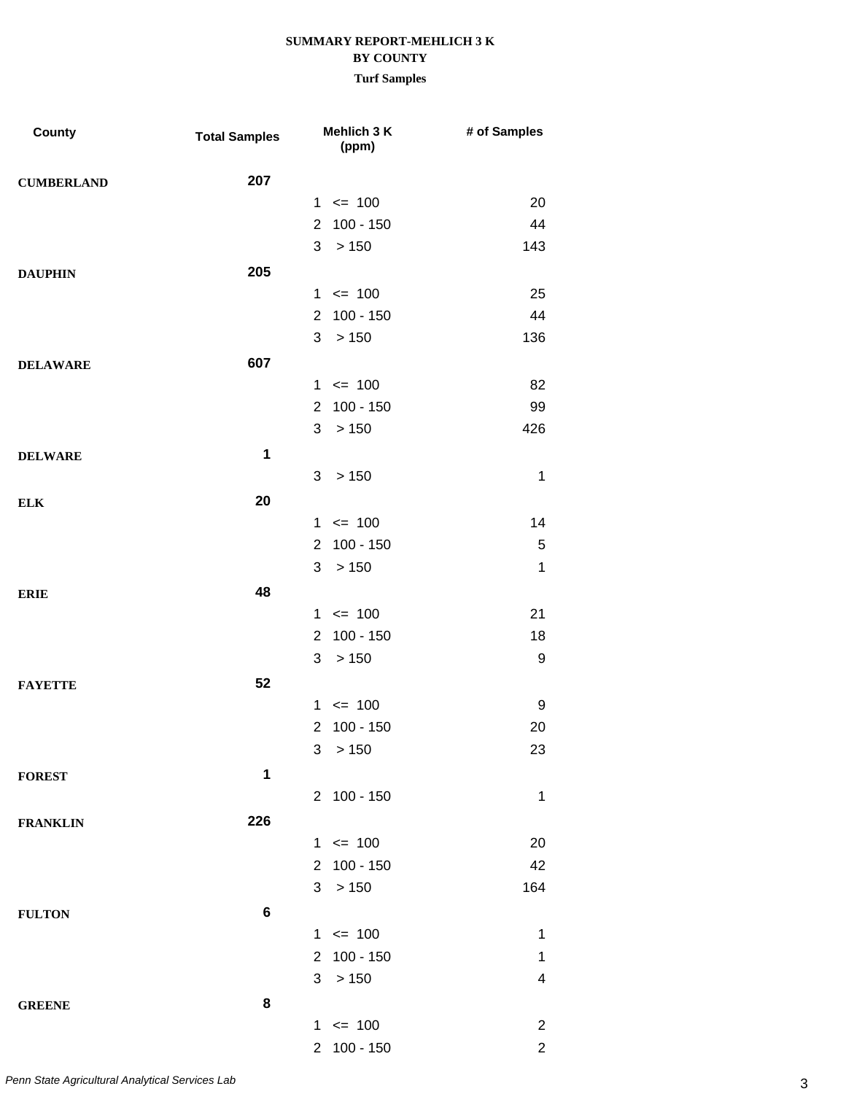| County            | <b>Total Samples</b> |                | Mehlich 3 K<br>(ppm) | # of Samples   |
|-------------------|----------------------|----------------|----------------------|----------------|
| <b>CUMBERLAND</b> | 207                  |                |                      |                |
|                   |                      |                | $1 \le 100$          | 20             |
|                   |                      | $\overline{2}$ | $100 - 150$          | 44             |
|                   |                      | 3              | >150                 | 143            |
| <b>DAUPHIN</b>    | 205                  |                |                      |                |
|                   |                      |                | $1 \le 100$          | 25             |
|                   |                      | $\overline{2}$ | $100 - 150$          | 44             |
|                   |                      | 3              | >150                 | 136            |
| <b>DELAWARE</b>   | 607                  |                |                      |                |
|                   |                      |                | $1 \le 100$          | 82             |
|                   |                      | $\overline{2}$ | $100 - 150$          | 99             |
|                   |                      | 3              | >150                 | 426            |
| <b>DELWARE</b>    | $\mathbf 1$          |                |                      |                |
|                   |                      | 3              | >150                 | 1              |
| <b>ELK</b>        | 20                   |                |                      |                |
|                   |                      |                | $1 \le 100$          | 14             |
|                   |                      | $\overline{2}$ | $100 - 150$          | 5              |
|                   |                      | 3              | >150                 | $\mathbf{1}$   |
| <b>ERIE</b>       | 48                   |                |                      |                |
|                   |                      |                | $1 \le 100$          | 21             |
|                   |                      | $\overline{2}$ | $100 - 150$          | 18             |
|                   |                      | 3              | > 150                | 9              |
| <b>FAYETTE</b>    | 52                   |                |                      |                |
|                   |                      | $\mathbf{1}$   | $\leq$ 100           | 9              |
|                   |                      | $\overline{2}$ | $100 - 150$          | 20             |
|                   |                      |                | 3 > 150              | 23             |
| <b>FOREST</b>     | 1                    |                |                      |                |
|                   |                      |                | 2 100 - 150          | $\mathbf 1$    |
| <b>FRANKLIN</b>   | 226                  |                |                      |                |
|                   |                      |                | $1 \le 100$          | 20             |
|                   |                      |                | 2 100 - 150          | 42             |
|                   |                      |                | 3 > 150              | 164            |
| <b>FULTON</b>     | 6                    |                |                      |                |
|                   |                      |                | $1 \le 100$          | $\mathbf 1$    |
|                   |                      |                | 2 100 - 150          | 1              |
|                   |                      |                | 3 > 150              | 4              |
| <b>GREENE</b>     | 8                    |                |                      |                |
|                   |                      |                | $1 \le 100$          | $\overline{2}$ |
|                   |                      |                | 2 100 - 150          | $\overline{2}$ |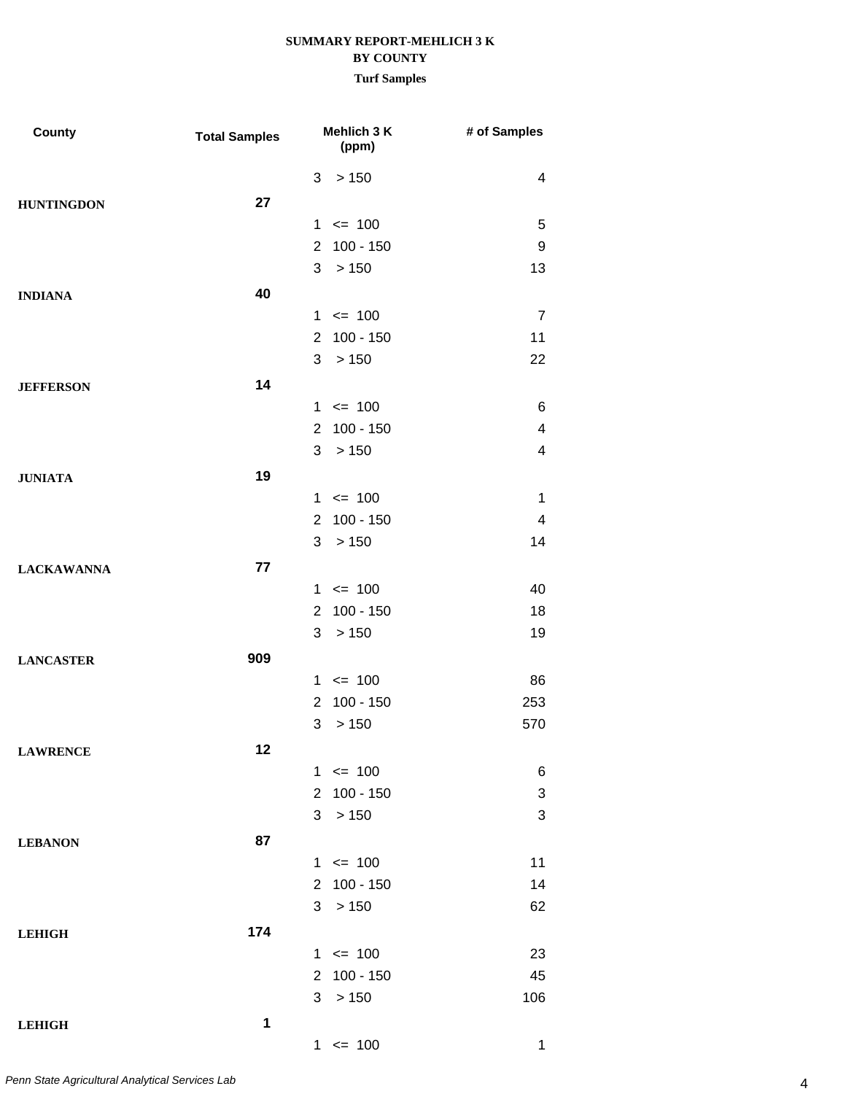| <b>County</b>     | <b>Total Samples</b> | Mehlich 3 K<br>(ppm)          | # of Samples            |
|-------------------|----------------------|-------------------------------|-------------------------|
|                   |                      | > 150<br>3                    | 4                       |
| <b>HUNTINGDON</b> | 27                   |                               |                         |
|                   |                      | $\leq$ 100<br>$\mathbf 1$     | 5                       |
|                   |                      | $100 - 150$<br>$\overline{2}$ | 9                       |
|                   |                      | 3<br>> 150                    | 13                      |
| <b>INDIANA</b>    | 40                   |                               |                         |
|                   |                      | $\leq$ 100<br>$\mathbf{1}$    | $\overline{7}$          |
|                   |                      | $100 - 150$<br>2              | 11                      |
|                   |                      | > 150<br>3                    | 22                      |
| <b>JEFFERSON</b>  | 14                   |                               |                         |
|                   |                      | $\leq$ 100<br>$\mathbf 1$     | 6                       |
|                   |                      | $100 - 150$<br>$\overline{2}$ | $\overline{\mathbf{4}}$ |
|                   |                      | 3<br>> 150                    | 4                       |
| <b>JUNIATA</b>    | 19                   |                               |                         |
|                   |                      | $\leq$ 100<br>1               | 1                       |
|                   |                      | $100 - 150$<br>2              | 4                       |
|                   |                      | > 150<br>3                    | 14                      |
| <b>LACKAWANNA</b> | 77                   |                               |                         |
|                   |                      | $\leq$ 100<br>$\mathbf 1$     | 40                      |
|                   |                      | $100 - 150$<br>$\overline{2}$ | 18                      |
|                   |                      | 3<br>> 150                    | 19                      |
| <b>LANCASTER</b>  | 909                  |                               |                         |
|                   |                      | $\leq$ 100<br>1               | 86                      |
|                   |                      | $100 - 150$<br>2              | 253                     |
|                   |                      | > 150<br>3                    | 570                     |
| <b>LAWRENCE</b>   | 12                   |                               |                         |
|                   |                      | $1 \le 100$                   | 6                       |
|                   |                      | $100 - 150$<br>$\overline{2}$ | 3                       |
|                   |                      | 3<br>> 150                    | 3                       |
| <b>LEBANON</b>    | 87                   |                               |                         |
|                   |                      | $1 \le 100$                   | 11                      |
|                   |                      | 100 - 150<br>$\overline{2}$   | 14                      |
|                   |                      | 3<br>>150                     | 62                      |
| <b>LEHIGH</b>     | 174                  |                               |                         |
|                   |                      | $1 \le 100$                   | 23                      |
|                   |                      | $100 - 150$<br>$\overline{2}$ | 45                      |
|                   |                      | > 150<br>3                    | 106                     |
| <b>LEHIGH</b>     | 1                    |                               |                         |
|                   |                      | $1 \le 100$                   | 1                       |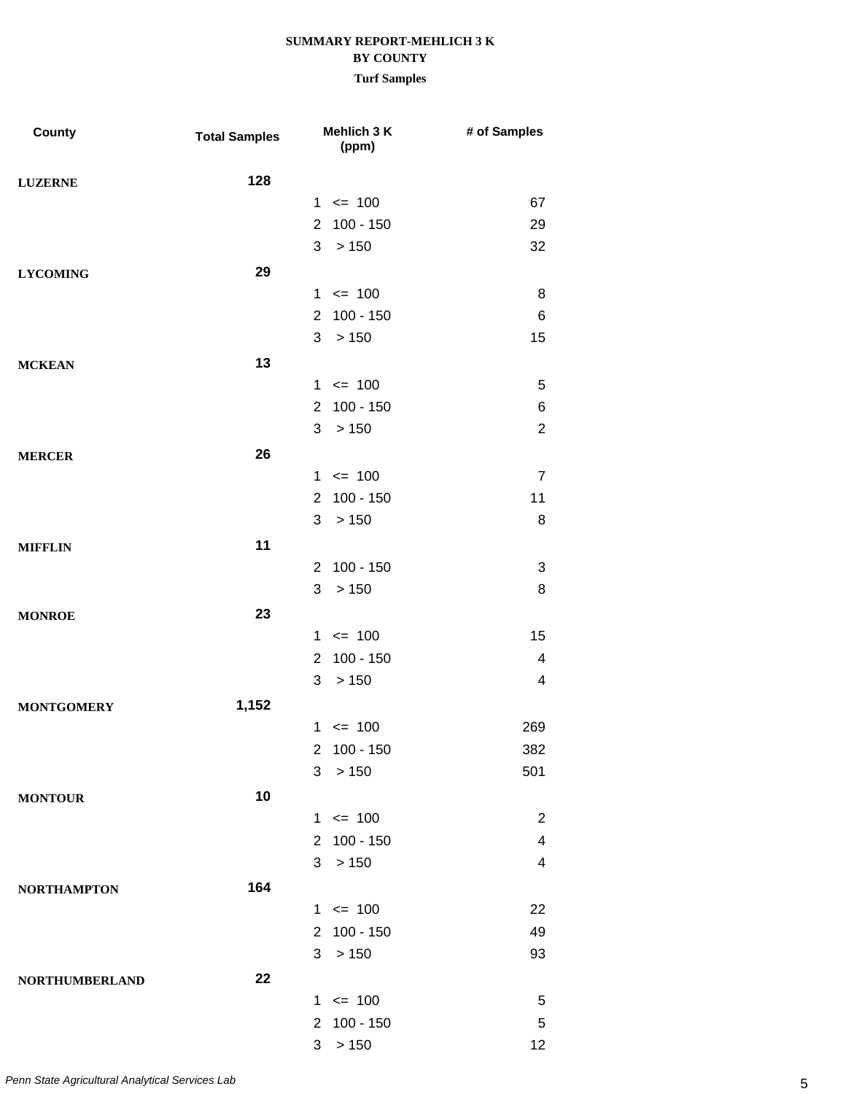| <b>County</b>         | <b>Total Samples</b> |                      | Mehlich 3 K<br>(ppm) | # of Samples            |
|-----------------------|----------------------|----------------------|----------------------|-------------------------|
| <b>LUZERNE</b>        | 128                  |                      |                      |                         |
|                       |                      |                      | $1 \le 100$          | 67                      |
|                       |                      | $\overline{2}$       | $100 - 150$          | 29                      |
|                       |                      | 3                    | >150                 | 32                      |
| <b>LYCOMING</b>       | 29                   |                      |                      |                         |
|                       |                      | $\mathbf{1}$         | $= 100$              | 8                       |
|                       |                      | $\mathbf{2}^{\circ}$ | 100 - 150            | 6                       |
|                       |                      | 3                    | >150                 | 15                      |
| <b>MCKEAN</b>         | 13                   |                      |                      |                         |
|                       |                      |                      | $1 \le 100$          | 5                       |
|                       |                      | $\overline{2}$       | $100 - 150$          | 6                       |
|                       |                      | 3                    | >150                 | $\overline{2}$          |
| <b>MERCER</b>         | 26                   |                      |                      |                         |
|                       |                      |                      | $1 \le 100$          | $\overline{7}$          |
|                       |                      | $\mathbf{2}^{\circ}$ | $100 - 150$          | 11                      |
|                       |                      | 3                    | >150                 | 8                       |
| <b>MIFFLIN</b>        | 11                   |                      |                      |                         |
|                       |                      | $\overline{2}$       | $100 - 150$          | 3                       |
|                       |                      | 3                    | >150                 | 8                       |
| <b>MONROE</b>         | 23                   |                      |                      |                         |
|                       |                      |                      | $1 \le 100$          | 15                      |
|                       |                      | $\overline{2}$       | $100 - 150$          | $\overline{\mathbf{4}}$ |
|                       |                      | 3                    | >150                 | $\overline{\mathbf{4}}$ |
| <b>MONTGOMERY</b>     | 1,152                |                      |                      |                         |
|                       |                      |                      | $1 \le 100$          | 269                     |
|                       |                      |                      | 2 100 - 150          | 382                     |
|                       |                      | 3                    | >150                 | 501                     |
| <b>MONTOUR</b>        | 10                   |                      |                      |                         |
|                       |                      |                      | $1 \le 100$          | $\overline{2}$          |
|                       |                      |                      | 2 100 - 150          | 4                       |
|                       |                      | 3 <sup>1</sup>       | >150                 | $\overline{\mathbf{4}}$ |
| <b>NORTHAMPTON</b>    | 164                  |                      |                      |                         |
|                       |                      |                      | $1 \le 100$          | 22                      |
|                       |                      |                      | 2 100 - 150          | 49                      |
|                       |                      |                      | 3 > 150              | 93                      |
| <b>NORTHUMBERLAND</b> | 22                   |                      |                      |                         |
|                       |                      |                      | $1 \le 100$          | 5                       |
|                       |                      |                      | 2 100 - 150          | 5                       |
|                       |                      | 3                    | >150                 | 12                      |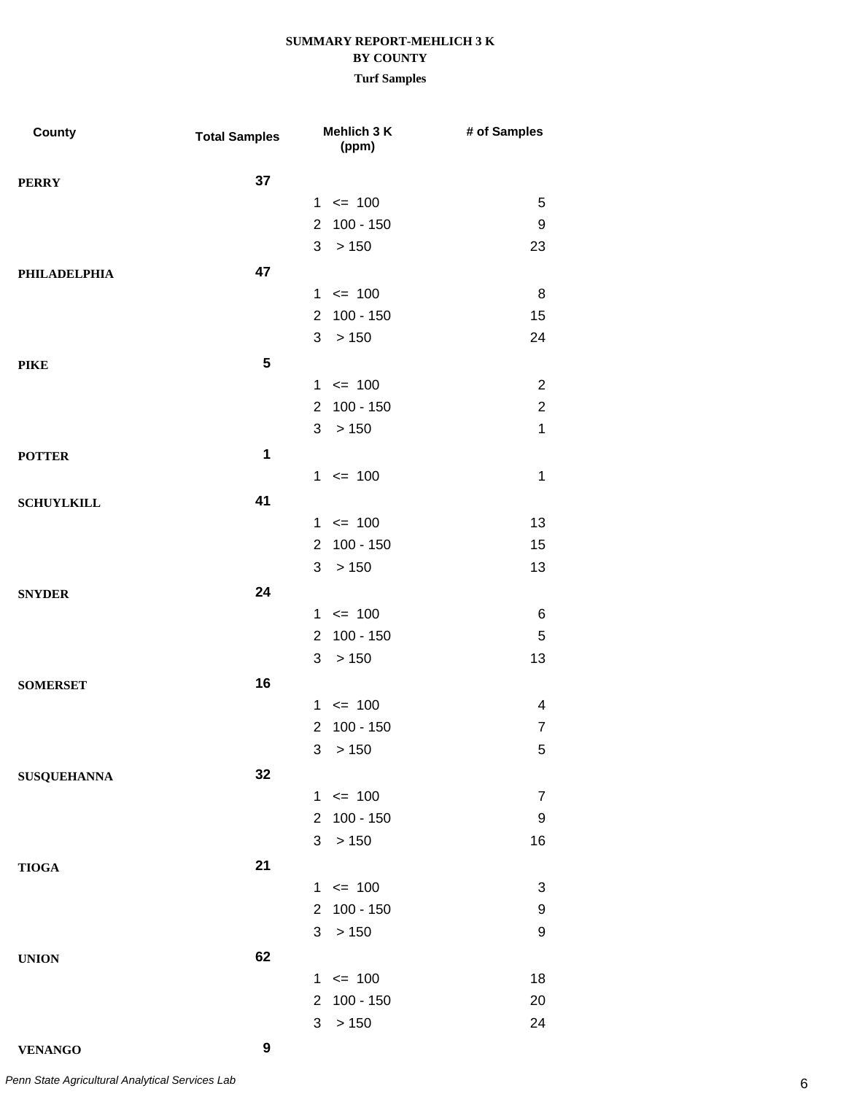**Turf Samples**

| <b>County</b>       | <b>Total Samples</b> | Mehlich 3 K<br>(ppm)          | # of Samples            |
|---------------------|----------------------|-------------------------------|-------------------------|
| <b>PERRY</b>        | 37                   |                               |                         |
|                     |                      | $1 \le 100$                   | 5                       |
|                     |                      | $100 - 150$<br>$\overline{2}$ | 9                       |
|                     |                      | 3<br>>150                     | 23                      |
| <b>PHILADELPHIA</b> | 47                   |                               |                         |
|                     |                      | $1 \le 100$                   | 8                       |
|                     |                      | 2 100 - 150                   | 15                      |
|                     |                      | 3<br>>150                     | 24                      |
| <b>PIKE</b>         | 5                    |                               |                         |
|                     |                      | $1 \le 100$                   | $\overline{2}$          |
|                     |                      | $100 - 150$<br>$\overline{2}$ | $\boldsymbol{2}$        |
|                     |                      | 3 > 150                       | $\mathbf{1}$            |
| <b>POTTER</b>       | 1                    |                               |                         |
|                     |                      | $1 \le 100$                   | $\mathbf 1$             |
| <b>SCHUYLKILL</b>   | 41                   |                               |                         |
|                     |                      | $1 \le 100$                   | 13                      |
|                     |                      | 2 100 - 150                   | 15                      |
|                     |                      | 3 > 150                       | 13                      |
| <b>SNYDER</b>       | 24                   |                               |                         |
|                     |                      | $1 \le 100$                   | 6                       |
|                     |                      | $100 - 150$<br>$\overline{2}$ | 5                       |
|                     |                      | 3 > 150                       | 13                      |
| <b>SOMERSET</b>     | 16                   |                               |                         |
|                     |                      | $1 \le 100$                   | $\overline{\mathbf{4}}$ |
|                     |                      | $100 - 150$<br>$\overline{2}$ | $\overline{7}$          |
|                     |                      | 3 > 150                       | 5                       |
| <b>SUSQUEHANNA</b>  | 32                   |                               |                         |
|                     |                      | $1 \le 100$                   | $\overline{7}$          |
|                     |                      | 2 100 - 150                   | 9                       |
|                     |                      | 3 > 150                       | 16                      |
| <b>TIOGA</b>        | 21                   |                               |                         |
|                     |                      | $1 \le 100$                   | 3                       |
|                     |                      | 2 100 - 150                   | 9                       |
|                     |                      | 3<br>> 150                    | 9                       |
| <b>UNION</b>        | 62                   |                               |                         |
|                     |                      | $1 \le 100$                   | 18                      |
|                     |                      | 100 - 150<br>$\overline{2}$   | 20                      |
|                     |                      | >150<br>3                     | 24                      |

**VENANGO 9**